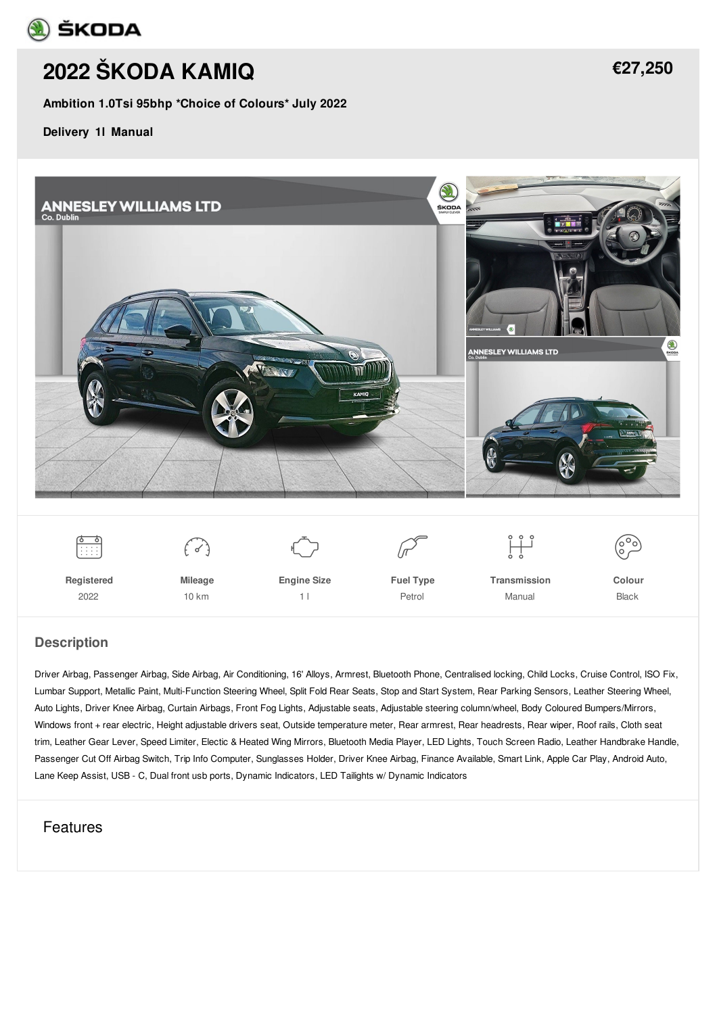

# **2022 [ŠKODA](/used-cars/pdf/) KAMIQ**

**Ambition 1.0Tsi 95bhp \*Choice of Colours\* July 2022**

**Delivery 1l Manual**



#### **Description**

Driver Airbag, Passenger Airbag, Side Airbag, Air Conditioning, 16' Alloys, Armrest, Bluetooth Phone, Centralised locking, Child Locks, Cruise Control, ISO Fix, Lumbar Support, Metallic Paint, Multi-Function Steering Wheel, Split Fold Rear Seats, Stop and Start System, Rear Parking Sensors, Leather Steering Wheel, Auto Lights, Driver Knee Airbag, Curtain Airbags, Front Fog Lights, Adjustable seats, Adjustable steering column/wheel, Body Coloured Bumpers/Mirrors, Windows front + rear electric, Height adjustable drivers seat, Outside temperature meter, Rear armrest, Rear headrests, Rear wiper, Roof rails, Cloth seat trim, Leather Gear Lever, Speed Limiter, Electic & Heated Wing Mirrors, Bluetooth Media Player, LED Lights, Touch Screen Radio, Leather Handbrake Handle, Passenger Cut Off Airbag Switch, Trip Info Computer, Sunglasses Holder, Driver Knee Airbag, Finance Available, Smart Link, Apple Car Play, Android Auto, Lane Keep Assist, USB - C, Dual front usb ports, Dynamic Indicators, LED Tailights w/ Dynamic Indicators

### Features

**[€27,250](/used-cars/pdf/)**